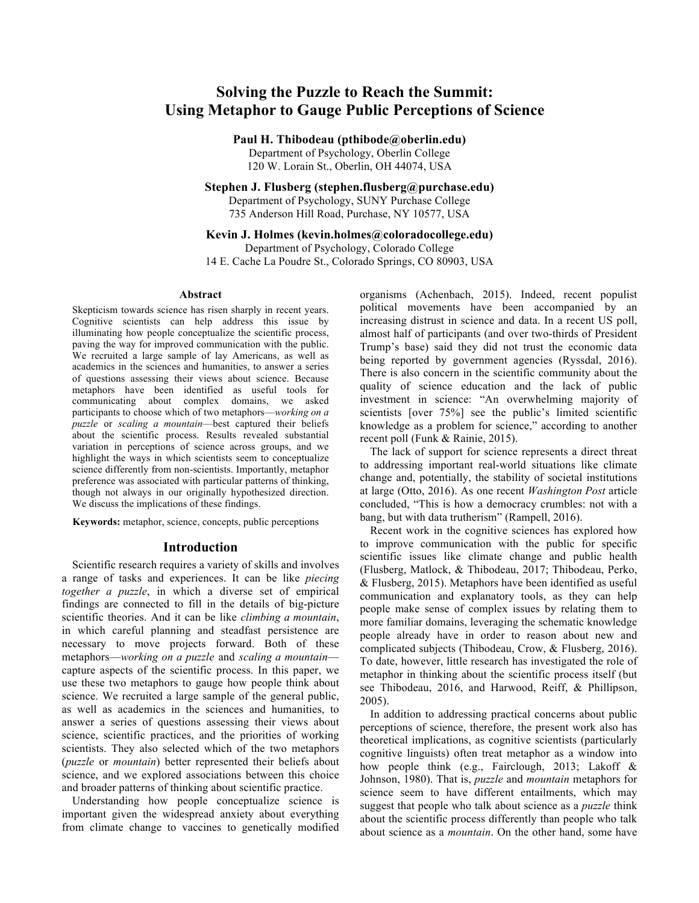# **Solving the Puzzle to Reach the Summit: Using Metaphor to Gauge Public Perceptions of Science**

**Paul H. Thibodeau (pthibode@oberlin.edu)**

Department of Psychology, Oberlin College 120 W. Lorain St., Oberlin, OH 44074, USA

**Stephen J. Flusberg (stephen.flusberg@purchase.edu)**

Department of Psychology, SUNY Purchase College 735 Anderson Hill Road, Purchase, NY 10577, USA

**Kevin J. Holmes (kevin.holmes@coloradocollege.edu)**

Department of Psychology, Colorado College 14 E. Cache La Poudre St., Colorado Springs, CO 80903, USA

#### **Abstract**

Skepticism towards science has risen sharply in recent years. Cognitive scientists can help address this issue by illuminating how people conceptualize the scientific process, paving the way for improved communication with the public. We recruited a large sample of lay Americans, as well as academics in the sciences and humanities, to answer a series of questions assessing their views about science. Because metaphors have been identified as useful tools for communicating about complex domains, we asked participants to choose which of two metaphors––*working on a puzzle* or *scaling a mountain––*best captured their beliefs about the scientific process. Results revealed substantial variation in perceptions of science across groups, and we highlight the ways in which scientists seem to conceptualize science differently from non-scientists. Importantly, metaphor preference was associated with particular patterns of thinking, though not always in our originally hypothesized direction. We discuss the implications of these findings.

**Keywords:** metaphor, science, concepts, public perceptions

## **Introduction**

Scientific research requires a variety of skills and involves a range of tasks and experiences. It can be like *piecing together a puzzle*, in which a diverse set of empirical findings are connected to fill in the details of big-picture scientific theories. And it can be like *climbing a mountain*, in which careful planning and steadfast persistence are necessary to move projects forward. Both of these metaphors—*working on a puzzle* and *scaling a mountain* capture aspects of the scientific process. In this paper, we use these two metaphors to gauge how people think about science. We recruited a large sample of the general public, as well as academics in the sciences and humanities, to answer a series of questions assessing their views about science, scientific practices, and the priorities of working scientists. They also selected which of the two metaphors (*puzzle* or *mountain*) better represented their beliefs about science, and we explored associations between this choice and broader patterns of thinking about scientific practice.

Understanding how people conceptualize science is important given the widespread anxiety about everything from climate change to vaccines to genetically modified

organisms (Achenbach, 2015). Indeed, recent populist political movements have been accompanied by an increasing distrust in science and data. In a recent US poll, almost half of participants (and over two-thirds of President Trump's base) said they did not trust the economic data being reported by government agencies (Ryssdal, 2016). There is also concern in the scientific community about the quality of science education and the lack of public investment in science: "An overwhelming majority of scientists [over 75%] see the public's limited scientific knowledge as a problem for science," according to another recent poll (Funk & Rainie, 2015).

The lack of support for science represents a direct threat to addressing important real-world situations like climate change and, potentially, the stability of societal institutions at large (Otto, 2016). As one recent *Washington Post* article concluded, "This is how a democracy crumbles: not with a bang, but with data trutherism" (Rampell, 2016).

Recent work in the cognitive sciences has explored how to improve communication with the public for specific scientific issues like climate change and public health (Flusberg, Matlock, & Thibodeau, 2017; Thibodeau, Perko, & Flusberg, 2015). Metaphors have been identified as useful communication and explanatory tools, as they can help people make sense of complex issues by relating them to more familiar domains, leveraging the schematic knowledge people already have in order to reason about new and complicated subjects (Thibodeau, Crow, & Flusberg, 2016). To date, however, little research has investigated the role of metaphor in thinking about the scientific process itself (but see Thibodeau, 2016, and Harwood, Reiff, & Phillipson, 2005).

In addition to addressing practical concerns about public perceptions of science, therefore, the present work also has theoretical implications, as cognitive scientists (particularly cognitive linguists) often treat metaphor as a window into how people think (e.g., Fairclough, 2013; Lakoff & Johnson, 1980). That is, *puzzle* and *mountain* metaphors for science seem to have different entailments, which may suggest that people who talk about science as a *puzzle* think about the scientific process differently than people who talk about science as a *mountain*. On the other hand, some have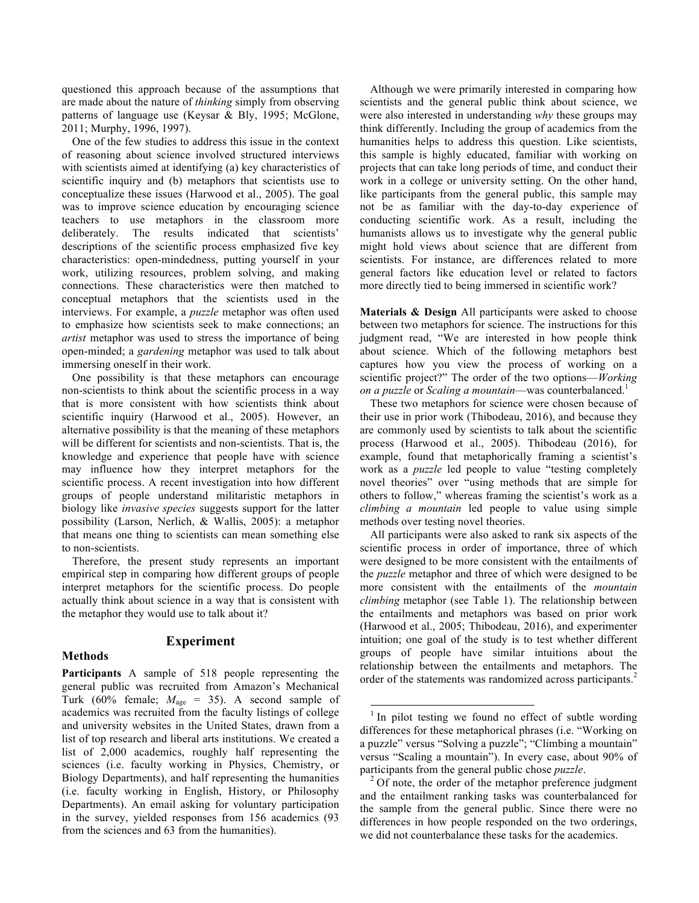questioned this approach because of the assumptions that are made about the nature of *thinking* simply from observing patterns of language use (Keysar & Bly, 1995; McGlone, 2011; Murphy, 1996, 1997).

One of the few studies to address this issue in the context of reasoning about science involved structured interviews with scientists aimed at identifying (a) key characteristics of scientific inquiry and (b) metaphors that scientists use to conceptualize these issues (Harwood et al., 2005). The goal was to improve science education by encouraging science teachers to use metaphors in the classroom more deliberately. The results indicated that scientists' descriptions of the scientific process emphasized five key characteristics: open-mindedness, putting yourself in your work, utilizing resources, problem solving, and making connections. These characteristics were then matched to conceptual metaphors that the scientists used in the interviews. For example, a *puzzle* metaphor was often used to emphasize how scientists seek to make connections; an *artist* metaphor was used to stress the importance of being open-minded; a *gardening* metaphor was used to talk about immersing oneself in their work.

One possibility is that these metaphors can encourage non-scientists to think about the scientific process in a way that is more consistent with how scientists think about scientific inquiry (Harwood et al., 2005). However, an alternative possibility is that the meaning of these metaphors will be different for scientists and non-scientists. That is, the knowledge and experience that people have with science may influence how they interpret metaphors for the scientific process. A recent investigation into how different groups of people understand militaristic metaphors in biology like *invasive species* suggests support for the latter possibility (Larson, Nerlich, & Wallis, 2005): a metaphor that means one thing to scientists can mean something else to non-scientists.

Therefore, the present study represents an important empirical step in comparing how different groups of people interpret metaphors for the scientific process. Do people actually think about science in a way that is consistent with the metaphor they would use to talk about it?

## **Methods**

## **Experiment**

**Participants** A sample of 518 people representing the general public was recruited from Amazon's Mechanical Turk (60% female;  $M_{\text{age}} = 35$ ). A second sample of academics was recruited from the faculty listings of college and university websites in the United States, drawn from a list of top research and liberal arts institutions. We created a list of 2,000 academics, roughly half representing the sciences (i.e. faculty working in Physics, Chemistry, or Biology Departments), and half representing the humanities (i.e. faculty working in English, History, or Philosophy Departments). An email asking for voluntary participation in the survey, yielded responses from 156 academics (93 from the sciences and 63 from the humanities).

Although we were primarily interested in comparing how scientists and the general public think about science, we were also interested in understanding *why* these groups may think differently. Including the group of academics from the humanities helps to address this question. Like scientists, this sample is highly educated, familiar with working on projects that can take long periods of time, and conduct their work in a college or university setting. On the other hand, like participants from the general public, this sample may not be as familiar with the day-to-day experience of conducting scientific work. As a result, including the humanists allows us to investigate why the general public might hold views about science that are different from scientists. For instance, are differences related to more general factors like education level or related to factors more directly tied to being immersed in scientific work?

**Materials & Design** All participants were asked to choose between two metaphors for science. The instructions for this judgment read, "We are interested in how people think about science. Which of the following metaphors best captures how you view the process of working on a scientific project?" The order of the two options—*Working on a puzzle* or *Scaling a mountain*—was counterbalanced.<sup>1</sup>

These two metaphors for science were chosen because of their use in prior work (Thibodeau, 2016), and because they are commonly used by scientists to talk about the scientific process (Harwood et al., 2005). Thibodeau (2016), for example, found that metaphorically framing a scientist's work as a *puzzle* led people to value "testing completely novel theories" over "using methods that are simple for others to follow," whereas framing the scientist's work as a *climbing a mountain* led people to value using simple methods over testing novel theories.

All participants were also asked to rank six aspects of the scientific process in order of importance, three of which were designed to be more consistent with the entailments of the *puzzle* metaphor and three of which were designed to be more consistent with the entailments of the *mountain climbing* metaphor (see Table 1). The relationship between the entailments and metaphors was based on prior work (Harwood et al., 2005; Thibodeau, 2016), and experimenter intuition; one goal of the study is to test whether different groups of people have similar intuitions about the relationship between the entailments and metaphors. The order of the statements was randomized across participants.<sup>2</sup>

 $1$  In pilot testing we found no effect of subtle wording differences for these metaphorical phrases (i.e. "Working on a puzzle" versus "Solving a puzzle"; "Climbing a mountain" versus "Scaling a mountain"). In every case, about 90% of participants from the general public chose *puzzle*.<br><sup>2</sup> Of note, the order of the metaphor preference judgment

and the entailment ranking tasks was counterbalanced for the sample from the general public. Since there were no differences in how people responded on the two orderings, we did not counterbalance these tasks for the academics.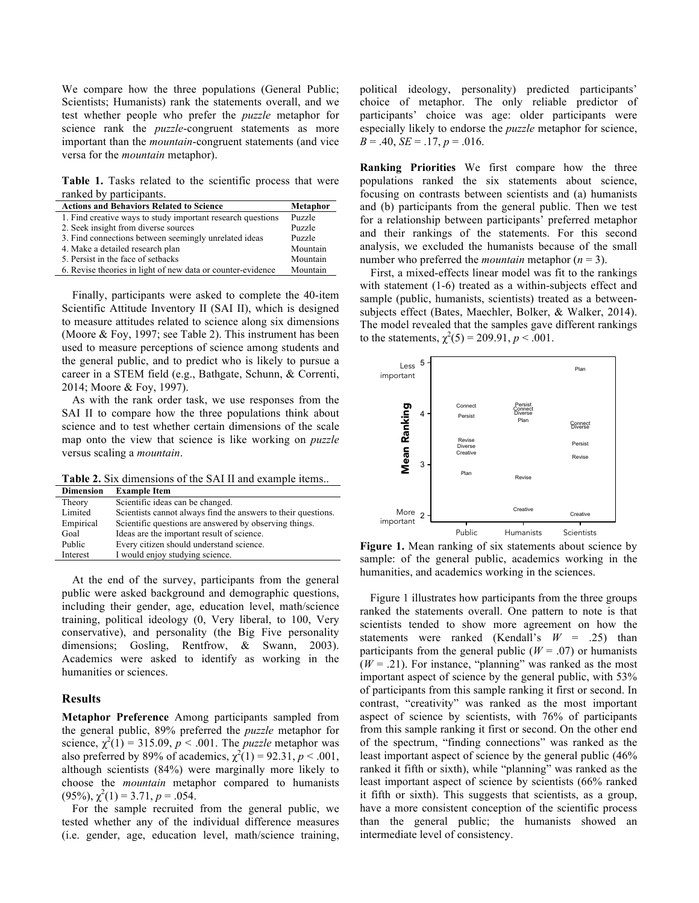We compare how the three populations (General Public; Scientists; Humanists) rank the statements overall, and we test whether people who prefer the *puzzle* metaphor for science rank the *puzzle*-congruent statements as more important than the *mountain*-congruent statements (and vice versa for the *mountain* metaphor).

Table 1. Tasks related to the scientific process that were ranked by participants.

| <b>Actions and Behaviors Related to Science</b>             | Metaphor |
|-------------------------------------------------------------|----------|
| 1. Find creative ways to study important research questions | Puzzle   |
| 2. Seek insight from diverse sources                        | Puzzle   |
| 3. Find connections between seemingly unrelated ideas       | Puzzle   |
| 4. Make a detailed research plan                            | Mountain |
| 5. Persist in the face of setbacks                          | Mountain |
| 6. Revise theories in light of new data or counter-evidence | Mountain |

Finally, participants were asked to complete the 40-item Scientific Attitude Inventory II (SAI II), which is designed to measure attitudes related to science along six dimensions (Moore & Foy, 1997; see Table 2). This instrument has been used to measure perceptions of science among students and the general public, and to predict who is likely to pursue a career in a STEM field (e.g., Bathgate, Schunn, & Correnti, 2014; Moore & Foy, 1997).

As with the rank order task, we use responses from the SAI II to compare how the three populations think about science and to test whether certain dimensions of the scale map onto the view that science is like working on *puzzle* versus scaling a *mountain*.

**Table 2.** Six dimensions of the SAI II and example items..

| <b>Dimension</b> | <b>Example Item</b>                                           |
|------------------|---------------------------------------------------------------|
| Theory           | Scientific ideas can be changed.                              |
| Limited          | Scientists cannot always find the answers to their questions. |
| Empirical        | Scientific questions are answered by observing things.        |
| Goal             | Ideas are the important result of science.                    |
| Public           | Every citizen should understand science.                      |
| Interest         | I would enjoy studying science.                               |

At the end of the survey, participants from the general public were asked background and demographic questions, including their gender, age, education level, math/science training, political ideology (0, Very liberal, to 100, Very conservative), and personality (the Big Five personality dimensions; Gosling, Rentfrow, & Swann, 2003). Academics were asked to identify as working in the humanities or sciences.

#### **Results**

**Metaphor Preference** Among participants sampled from the general public, 89% preferred the *puzzle* metaphor for science,  $\chi^2(1) = 315.09$ ,  $p < .001$ . The *puzzle* metaphor was also preferred by 89% of academics,  $\chi^2(1) = 92.31$ ,  $p < .001$ , although scientists (84%) were marginally more likely to choose the *mountain* metaphor compared to humanists  $(95\%)$ ,  $\chi^2(1) = 3.71$ ,  $p = .054$ .

For the sample recruited from the general public, we tested whether any of the individual difference measures (i.e. gender, age, education level, math/science training,

political ideology, personality) predicted participants' choice of metaphor. The only reliable predictor of participants' choice was age: older participants were especially likely to endorse the *puzzle* metaphor for science,  $B = .40$ ,  $SE = .17$ ,  $p = .016$ .

**Ranking Priorities** We first compare how the three populations ranked the six statements about science, focusing on contrasts between scientists and (a) humanists and (b) participants from the general public. Then we test for a relationship between participants' preferred metaphor and their rankings of the statements. For this second analysis, we excluded the humanists because of the small number who preferred the *mountain* metaphor  $(n = 3)$ .

First, a mixed-effects linear model was fit to the rankings with statement (1-6) treated as a within-subjects effect and sample (public, humanists, scientists) treated as a betweensubjects effect (Bates, Maechler, Bolker, & Walker, 2014). The model revealed that the samples gave different rankings to the statements,  $\chi^2(5) = 209.91$ ,  $p < .001$ .



**Figure 1.** Mean ranking of six statements about science by sample: of the general public, academics working in the humanities, and academics working in the sciences.

Figure 1 illustrates how participants from the three groups ranked the statements overall. One pattern to note is that scientists tended to show more agreement on how the statements were ranked (Kendall's *W* = .25) than participants from the general public  $(W = .07)$  or humanists  $(W = .21)$ . For instance, "planning" was ranked as the most important aspect of science by the general public, with 53% of participants from this sample ranking it first or second. In contrast, "creativity" was ranked as the most important aspect of science by scientists, with 76% of participants from this sample ranking it first or second. On the other end of the spectrum, "finding connections" was ranked as the least important aspect of science by the general public (46% ranked it fifth or sixth), while "planning" was ranked as the least important aspect of science by scientists (66% ranked it fifth or sixth). This suggests that scientists, as a group, have a more consistent conception of the scientific process than the general public; the humanists showed an From the set of connect and the power of the set of the set of the set of the set of the set of the set of the set of the set of the set of the set of the set of the set of the set of the set of the set of the set of the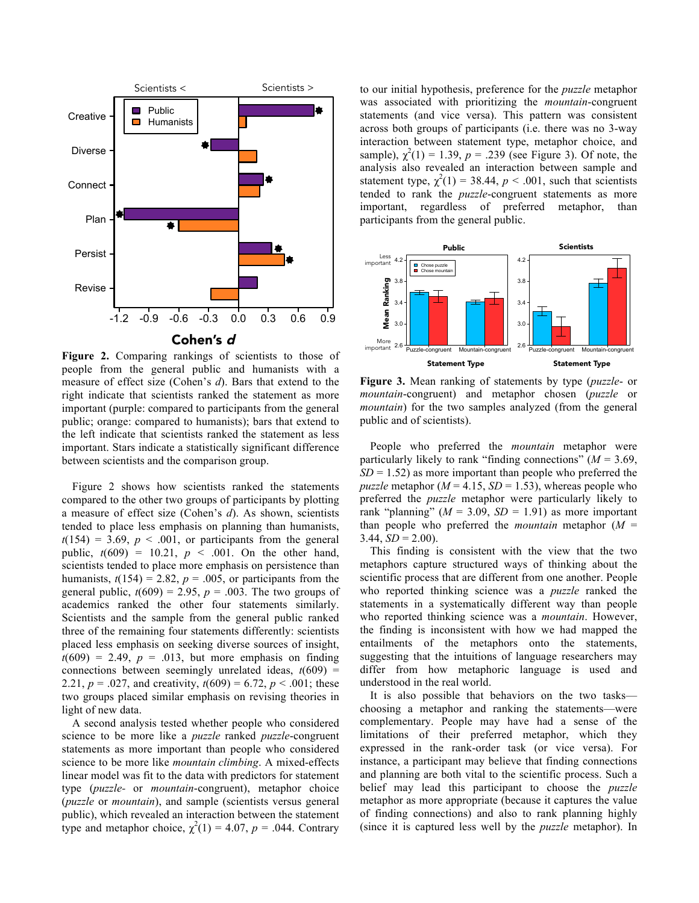

Figure 2. Comparing rankings of scientists to those of people from the general public and humanists with a measure of effect size (Cohen's *d*). Bars that extend to the right indicate that scientists ranked the statement as more important (purple: compared to participants from the general public; orange: compared to humanists); bars that extend to the left indicate that scientists ranked the statement as less important. Stars indicate a statistically significant difference between scientists and the comparison group.

Figure 2 shows how scientists ranked the statements compared to the other two groups of participants by plotting a measure of effect size (Cohen's *d*). As shown, scientists tended to place less emphasis on planning than humanists,  $t(154) = 3.69$ ,  $p < .001$ , or participants from the general public,  $t(609) = 10.21$ ,  $p < .001$ . On the other hand, scientists tended to place more emphasis on persistence than humanists,  $t(154) = 2.82$ ,  $p = .005$ , or participants from the general public,  $t(609) = 2.95$ ,  $p = .003$ . The two groups of academics ranked the other four statements similarly. Scientists and the sample from the general public ranked three of the remaining four statements differently: scientists placed less emphasis on seeking diverse sources of insight,  $t(609) = 2.49$ ,  $p = .013$ , but more emphasis on finding connections between seemingly unrelated ideas,  $t(609)$  = 2.21,  $p = .027$ , and creativity,  $t(609) = 6.72$ ,  $p < .001$ ; these two groups placed similar emphasis on revising theories in light of new data.

A second analysis tested whether people who considered science to be more like a *puzzle* ranked *puzzle*-congruent statements as more important than people who considered science to be more like *mountain climbing*. A mixed-effects linear model was fit to the data with predictors for statement type (*puzzle-* or *mountain*-congruent), metaphor choice (*puzzle* or *mountain*), and sample (scientists versus general public), which revealed an interaction between the statement type and metaphor choice,  $\chi^2(1) = 4.07$ ,  $p = .044$ . Contrary to our initial hypothesis, preference for the *puzzle* metaphor was associated with prioritizing the *mountain*-congruent statements (and vice versa). This pattern was consistent across both groups of participants (i.e. there was no 3-way interaction between statement type, metaphor choice, and sample),  $\chi^2(1) = 1.39$ ,  $p = .239$  (see Figure 3). Of note, the analysis also revealed an interaction between sample and statement type,  $\chi^2(1) = 38.44$ ,  $p < .001$ , such that scientists tended to rank the *puzzle*-congruent statements as more important, regardless of preferred metaphor, than participants from the general public.



**Figure 3.** Mean ranking of statements by type (*puzzle*- or *mountain*-congruent) and metaphor chosen (*puzzle* or *mountain*) for the two samples analyzed (from the general public and of scientists).

People who preferred the *mountain* metaphor were particularly likely to rank "finding connections" ( $M = 3.69$ ,  $SD = 1.52$ ) as more important than people who preferred the *puzzle* metaphor  $(M = 4.15, SD = 1.53)$ , whereas people who preferred the *puzzle* metaphor were particularly likely to rank "planning" ( $M = 3.09$ ,  $SD = 1.91$ ) as more important than people who preferred the *mountain* metaphor  $(M =$  $3.44, SD = 2.00$ .

This finding is consistent with the view that the two metaphors capture structured ways of thinking about the scientific process that are different from one another. People who reported thinking science was a *puzzle* ranked the statements in a systematically different way than people who reported thinking science was a *mountain*. However, the finding is inconsistent with how we had mapped the entailments of the metaphors onto the statements, suggesting that the intuitions of language researchers may differ from how metaphoric language is used and understood in the real world.

It is also possible that behaviors on the two tasks choosing a metaphor and ranking the statements—were complementary. People may have had a sense of the limitations of their preferred metaphor, which they expressed in the rank-order task (or vice versa). For instance, a participant may believe that finding connections and planning are both vital to the scientific process. Such a belief may lead this participant to choose the *puzzle*  metaphor as more appropriate (because it captures the value of finding connections) and also to rank planning highly (since it is captured less well by the *puzzle* metaphor). In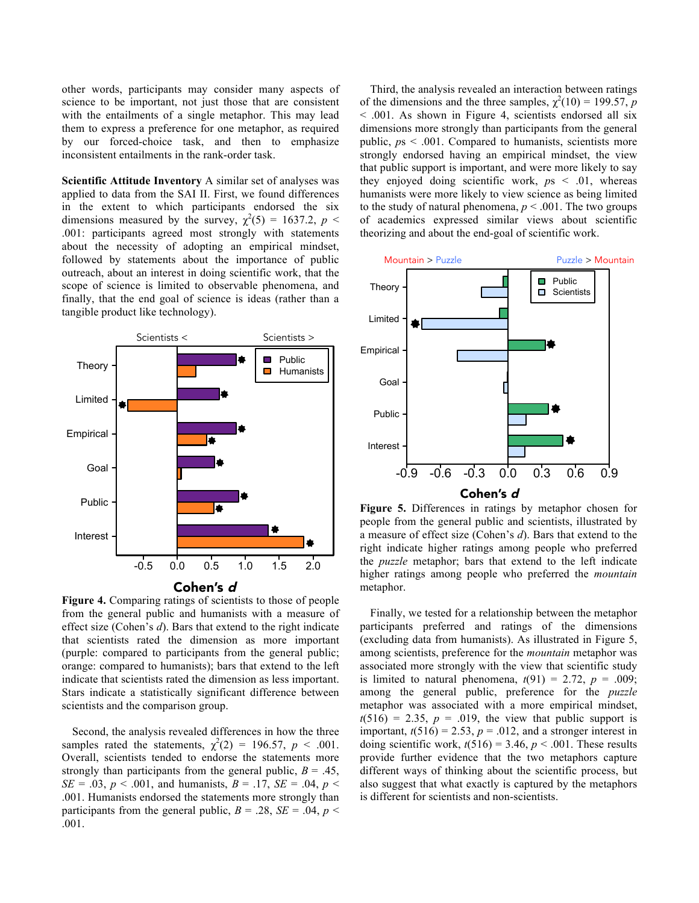other words, participants may consider many aspects of science to be important, not just those that are consistent with the entailments of a single metaphor. This may lead them to express a preference for one metaphor, as required by our forced-choice task, and then to emphasize inconsistent entailments in the rank-order task.

**Scientific Attitude Inventory** A similar set of analyses was applied to data from the SAI II. First, we found differences in the extent to which participants endorsed the six dimensions measured by the survey,  $\chi^2(5) = 1637.2$ ,  $p <$ .001: participants agreed most strongly with statements about the necessity of adopting an empirical mindset, followed by statements about the importance of public outreach, about an interest in doing scientific work, that the scope of science is limited to observable phenomena, and finally, that the end goal of science is ideas (rather than a tangible product like technology).





**Figure 4.** Comparing ratings of scientists to those of people from the general public and humanists with a measure of effect size (Cohen's *d*). Bars that extend to the right indicate that scientists rated the dimension as more important (purple: compared to participants from the general public; orange: compared to humanists); bars that extend to the left indicate that scientists rated the dimension as less important. Stars indicate a statistically significant difference between scientists and the comparison group.

Second, the analysis revealed differences in how the three samples rated the statements,  $\chi^2(2) = 196.57$ ,  $p < .001$ . Overall, scientists tended to endorse the statements more strongly than participants from the general public,  $B = .45$ , *SE* = .03, *p* < .001, and humanists, *B* = .17, *SE* = .04, *p* < .001. Humanists endorsed the statements more strongly than participants from the general public,  $B = .28$ ,  $SE = .04$ ,  $p <$ .001.

Third, the analysis revealed an interaction between ratings of the dimensions and the three samples,  $\chi^2(10) = 199.57$ , *p* < .001. As shown in Figure 4, scientists endorsed all six dimensions more strongly than participants from the general public, *p*s < .001. Compared to humanists, scientists more strongly endorsed having an empirical mindset, the view that public support is important, and were more likely to say they enjoyed doing scientific work,  $p_s < .01$ , whereas humanists were more likely to view science as being limited to the study of natural phenomena,  $p < .001$ . The two groups of academics expressed similar views about scientific theorizing and about the end-goal of scientific work.



**Figure 5.** Differences in ratings by metaphor chosen for people from the general public and scientists, illustrated by a measure of effect size (Cohen's *d*). Bars that extend to the right indicate higher ratings among people who preferred the *puzzle* metaphor; bars that extend to the left indicate higher ratings among people who preferred the *mountain* metaphor.

Finally, we tested for a relationship between the metaphor participants preferred and ratings of the dimensions (excluding data from humanists). As illustrated in Figure 5, among scientists, preference for the *mountain* metaphor was associated more strongly with the view that scientific study is limited to natural phenomena,  $t(91) = 2.72$ ,  $p = .009$ ; among the general public, preference for the *puzzle*  metaphor was associated with a more empirical mindset,  $t(516) = 2.35$ ,  $p = .019$ , the view that public support is important,  $t(516) = 2.53$ ,  $p = .012$ , and a stronger interest in doing scientific work,  $t(516) = 3.46$ ,  $p < .001$ . These results provide further evidence that the two metaphors capture different ways of thinking about the scientific process, but also suggest that what exactly is captured by the metaphors is different for scientists and non-scientists.